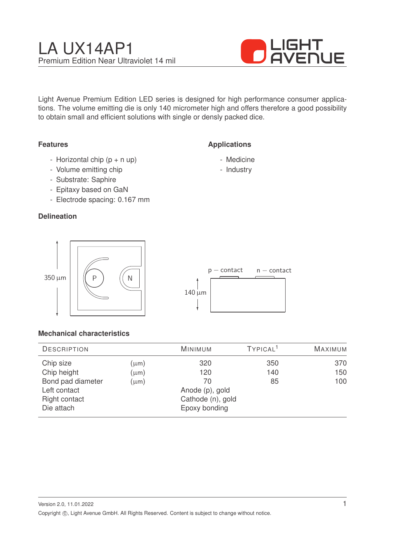

Light Avenue Premium Edition LED series is designed for high performance consumer applications. The volume emitting die is only 140 micrometer high and offers therefore a good possibility to obtain small and efficient solutions with single or densly packed dice.

## **Features**

- Horizontal chip  $(p + n \text{ up})$
- Volume emitting chip
- Substrate: Saphire
- Epitaxy based on GaN
- Electrode spacing: 0.167 mm

## **Delineation**





**Applications**

- Medicine - Industry

## **Mechanical characteristics**

| <b>DESCRIPTION</b> |           | <b>MINIMUM</b>    | TYPICAL <sup>1</sup> | <b>MAXIMUM</b> |
|--------------------|-----------|-------------------|----------------------|----------------|
| Chip size          | $(\mu m)$ | 320               | 350                  | 370            |
| Chip height        | $(\mu m)$ | 120               | 140                  | 150            |
| Bond pad diameter  | $(\mu m)$ | 70                | 85                   | 100            |
| Left contact       |           | Anode (p), gold   |                      |                |
| Right contact      |           | Cathode (n), gold |                      |                |
| Die attach         |           | Epoxy bonding     |                      |                |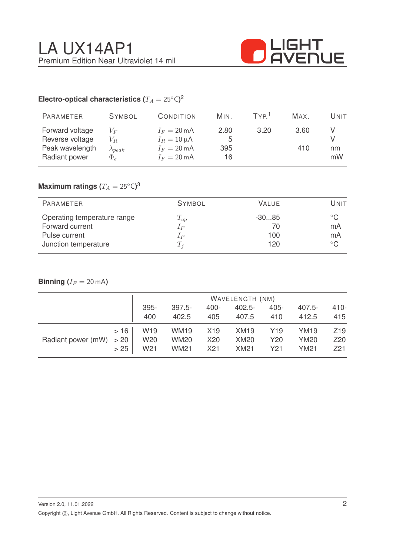

# Electro-optical characteristics ( $T_A = 25^{\circ} \text{C}$ )<sup>2</sup>

| <b>PARAMETER</b>                                                       | <b>SYMBOL</b>                                  | CONDITION                                                                           | MIN.                   | TYP <sup>1</sup> | Max.        | Unit     |
|------------------------------------------------------------------------|------------------------------------------------|-------------------------------------------------------------------------------------|------------------------|------------------|-------------|----------|
| Forward voltage<br>Reverse voltage<br>Peak wavelength<br>Radiant power | $V_F$<br>$V_R$<br>$\lambda_{peak}$<br>$\Phi_e$ | $I_F = 20 \text{ mA}$<br>$I_R = 10 \mu A$<br>$I_F = 20 \text{ mA}$<br>$I_F = 20$ mA | 2.80<br>5<br>395<br>16 | 3.20             | 3.60<br>410 | nm<br>mW |

# $\mathsf{Maximum}$  ratings  $(T_A = 25^{\circ} \mathsf{C})^3$

| PARAMETER                   | <b>SYMBOL</b> | <b>VALUE</b> | Unit         |
|-----------------------------|---------------|--------------|--------------|
| Operating temperature range | $T_{op}$      | $-3085$      | $^{\circ}$ C |
| Forward current             | $1_F$         | $($ (        | mA           |
| Pulse current               | $_{IP}$       | 100          | mA           |
| Junction temperature        | $T_{\it i}$   | 120          | $^{\circ}$ C |

# **Binning**  $(I_F = 20 \text{ mA})$

|                           |      | WAVELENGTH (NM) |                  |                 |             |         |                  |                 |
|---------------------------|------|-----------------|------------------|-----------------|-------------|---------|------------------|-----------------|
|                           |      | $395 -$         | $397.5 -$        | $400 -$         | $402.5 -$   | $405 -$ | $407.5 -$        | $410 -$         |
|                           |      | 400             | 402.5            | 405             | 407.5       | 410     | 412.5            | 415             |
| Radiant power $(mW) > 20$ | >16  | W <sub>19</sub> | WM <sub>19</sub> | X <sub>19</sub> | <b>XM19</b> | Y19     | YM <sub>19</sub> | Z <sub>19</sub> |
|                           |      | W20             | <b>WM20</b>      | X20             | <b>XM20</b> | Y20     | <b>YM20</b>      | Z <sub>20</sub> |
|                           | > 25 | W <sub>21</sub> | <b>WM21</b>      | X <sub>21</sub> | <b>XM21</b> | Y21     | <b>YM21</b>      | Z <sub>21</sub> |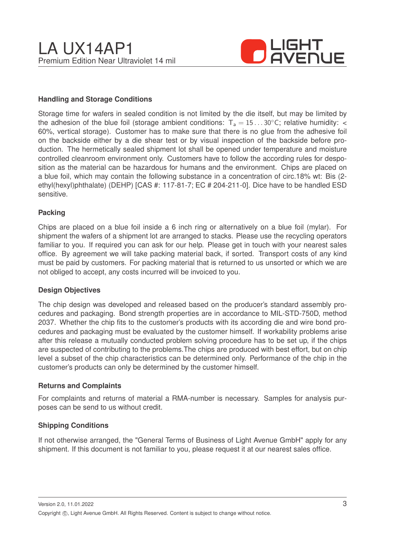

### **Handling and Storage Conditions**

Storage time for wafers in sealed condition is not limited by the die itself, but may be limited by the adhesion of the blue foil (storage ambient conditions:  $T_a = 15...30^{\circ}$ C; relative humidity: < 60%, vertical storage). Customer has to make sure that there is no glue from the adhesive foil on the backside either by a die shear test or by visual inspection of the backside before production. The hermetically sealed shipment lot shall be opened under temperature and moisture controlled cleanroom environment only. Customers have to follow the according rules for desposition as the material can be hazardous for humans and the environment. Chips are placed on a blue foil, which may contain the following substance in a concentration of circ.18% wt: Bis (2 ethyl(hexyl)phthalate) (DEHP) [CAS #: 117-81-7; EC # 204-211-0]. Dice have to be handled ESD sensitive.

#### **Packing**

Chips are placed on a blue foil inside a 6 inch ring or alternatively on a blue foil (mylar). For shipment the wafers of a shipment lot are arranged to stacks. Please use the recycling operators familiar to you. If required you can ask for our help. Please get in touch with your nearest sales office. By agreement we will take packing material back, if sorted. Transport costs of any kind must be paid by customers. For packing material that is returned to us unsorted or which we are not obliged to accept, any costs incurred will be invoiced to you.

#### **Design Objectives**

The chip design was developed and released based on the producer's standard assembly procedures and packaging. Bond strength properties are in accordance to MIL-STD-750D, method 2037. Whether the chip fits to the customer's products with its according die and wire bond procedures and packaging must be evaluated by the customer himself. If workability problems arise after this release a mutually conducted problem solving procedure has to be set up, if the chips are suspected of contributing to the problems.The chips are produced with best effort, but on chip level a subset of the chip characteristics can be determined only. Performance of the chip in the customer's products can only be determined by the customer himself.

#### **Returns and Complaints**

For complaints and returns of material a RMA-number is necessary. Samples for analysis purposes can be send to us without credit.

### **Shipping Conditions**

If not otherwise arranged, the "General Terms of Business of Light Avenue GmbH" apply for any shipment. If this document is not familiar to you, please request it at our nearest sales office.

Version 2.0, 11.01.2022 Copyright ©, Light Avenue GmbH. All Rights Reserved. Content is subject to change without notice.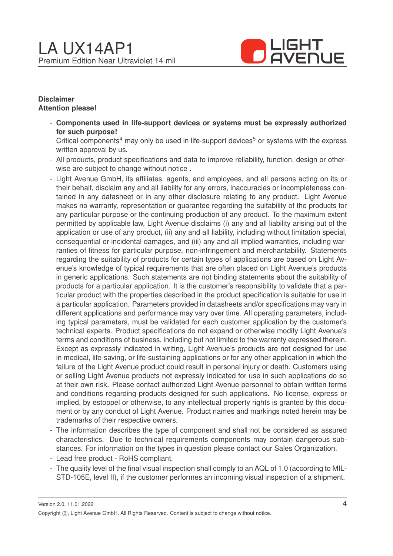

### **Disclaimer Attention please!**

- **Components used in life-support devices or systems must be expressly authorized for such purpose!**

Critical components<sup>4</sup> may only be used in life-support devices<sup>5</sup> or systems with the express written approval by us.

- All products, product specifications and data to improve reliability, function, design or otherwise are subject to change without notice .
- Light Avenue GmbH, its affiliates, agents, and employees, and all persons acting on its or their behalf, disclaim any and all liability for any errors, inaccuracies or incompleteness contained in any datasheet or in any other disclosure relating to any product. Light Avenue makes no warranty, representation or guarantee regarding the suitability of the products for any particular purpose or the continuing production of any product. To the maximum extent permitted by applicable law, Light Avenue disclaims (i) any and all liability arising out of the application or use of any product, (ii) any and all liability, including without limitation special, consequential or incidental damages, and (iii) any and all implied warranties, including warranties of fitness for particular purpose, non-infringement and merchantability. Statements regarding the suitability of products for certain types of applications are based on Light Avenue's knowledge of typical requirements that are often placed on Light Avenue's products in generic applications. Such statements are not binding statements about the suitability of products for a particular application. It is the customer's responsibility to validate that a particular product with the properties described in the product specification is suitable for use in a particular application. Parameters provided in datasheets and/or specifications may vary in different applications and performance may vary over time. All operating parameters, including typical parameters, must be validated for each customer application by the customer's technical experts. Product specifications do not expand or otherwise modify Light Avenue's terms and conditions of business, including but not limited to the warranty expressed therein. Except as expressly indicated in writing, Light Avenue's products are not designed for use in medical, life-saving, or life-sustaining applications or for any other application in which the failure of the Light Avenue product could result in personal injury or death. Customers using or selling Light Avenue products not expressly indicated for use in such applications do so at their own risk. Please contact authorized Light Avenue personnel to obtain written terms and conditions regarding products designed for such applications. No license, express or implied, by estoppel or otherwise, to any intellectual property rights is granted by this document or by any conduct of Light Avenue. Product names and markings noted herein may be trademarks of their respective owners.
- The information describes the type of component and shall not be considered as assured characteristics. Due to technical requirements components may contain dangerous substances. For information on the types in question please contact our Sales Organization.
- Lead free product RoHS compliant.
- The quality level of the final visual inspection shall comply to an AQL of 1.0 (according to MIL-STD-105E, level II), if the customer performes an incoming visual inspection of a shipment.